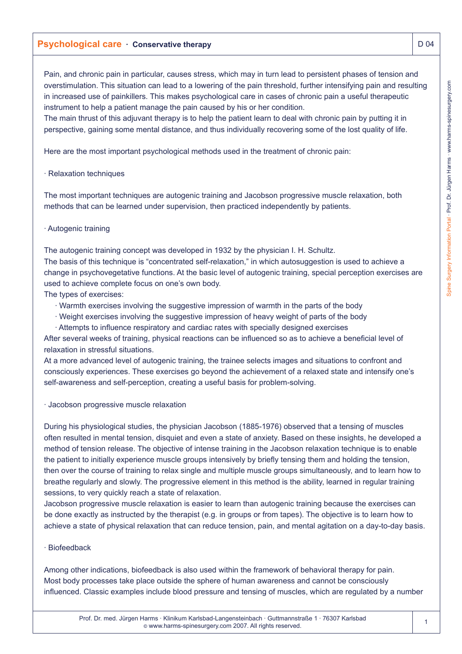# **Psychological care · Conservative therapy**  $\Box$  **D 04**

Pain, and chronic pain in particular, causes stress, which may in turn lead to persistent phases of tension and overstimulation. This situation can lead to a lowering of the pain threshold, further intensifying pain and resulting in increased use of painkillers. This makes psychological care in cases of chronic pain a useful therapeutic instrument to help a patient manage the pain caused by his or her condition.

The main thrust of this adjuvant therapy is to help the patient learn to deal with chronic pain by putting it in perspective, gaining some mental distance, and thus individually recovering some of the lost quality of life.

Here are the most important psychological methods used in the treatment of chronic pain:

### · Relaxation techniques

The most important techniques are autogenic training and Jacobson progressive muscle relaxation, both methods that can be learned under supervision, then practiced independently by patients.

### · Autogenic training

The autogenic training concept was developed in 1932 by the physician I. H. Schultz.

The basis of this technique is "concentrated self-relaxation," in which autosuggestion is used to achieve a change in psychovegetative functions. At the basic level of autogenic training, special perception exercises are used to achieve complete focus on one's own body.

The types of exercises:

- · Warmth exercises involving the suggestive impression of warmth in the parts of the body
- · Weight exercises involving the suggestive impression of heavy weight of parts of the body
- · Attempts to influence respiratory and cardiac rates with specially designed exercises

After several weeks of training, physical reactions can be influenced so as to achieve a beneficial level of relaxation in stressful situations.

At a more advanced level of autogenic training, the trainee selects images and situations to confront and consciously experiences. These exercises go beyond the achievement of a relaxed state and intensify one's self-awareness and self-perception, creating a useful basis for problem-solving.

· Jacobson progressive muscle relaxation

During his physiological studies, the physician Jacobson (1885-1976) observed that a tensing of muscles often resulted in mental tension, disquiet and even a state of anxiety. Based on these insights, he developed a method of tension release. The objective of intense training in the Jacobson relaxation technique is to enable the patient to initially experience muscle groups intensively by briefly tensing them and holding the tension, then over the course of training to relax single and multiple muscle groups simultaneously, and to learn how to breathe regularly and slowly. The progressive element in this method is the ability, learned in regular training sessions, to very quickly reach a state of relaxation.

Jacobson progressive muscle relaxation is easier to learn than autogenic training because the exercises can be done exactly as instructed by the therapist (e.g. in groups or from tapes). The objective is to learn how to achieve a state of physical relaxation that can reduce tension, pain, and mental agitation on a day-to-day basis.

## · Biofeedback

Among other indications, biofeedback is also used within the framework of behavioral therapy for pain. Most body processes take place outside the sphere of human awareness and cannot be consciously influenced. Classic examples include blood pressure and tensing of muscles, which are regulated by a number